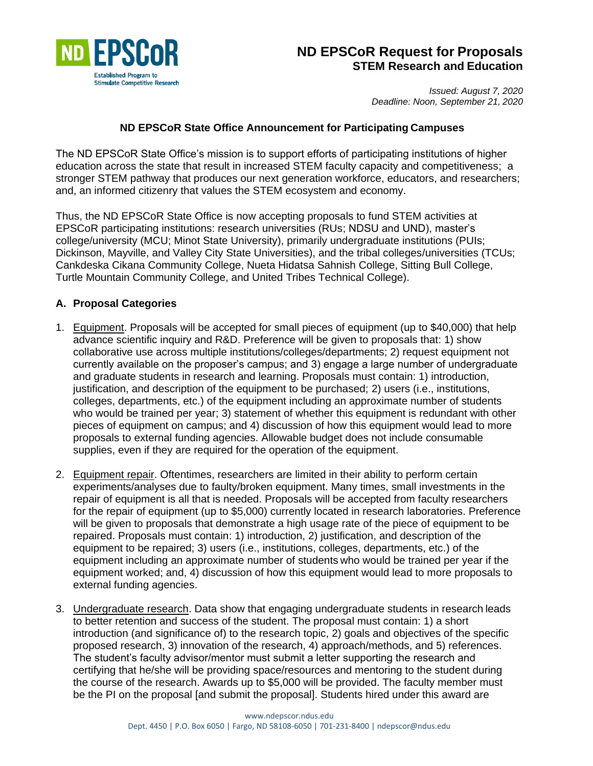

# **ND EPSCoR Request for Proposals STEM Research and Education**

*Issued: August 7, 2020 Deadline: Noon, September 21, 2020*

#### **ND EPSCoR State Office Announcement for Participating Campuses**

The ND EPSCoR State Office's mission is to support efforts of participating institutions of higher education across the state that result in increased STEM faculty capacity and competitiveness; a stronger STEM pathway that produces our next generation workforce, educators, and researchers; and, an informed citizenry that values the STEM ecosystem and economy.

Thus, the ND EPSCoR State Office is now accepting proposals to fund STEM activities at EPSCoR participating institutions: research universities (RUs; NDSU and UND), master's college/university (MCU; Minot State University), primarily undergraduate institutions (PUIs; Dickinson, Mayville, and Valley City State Universities), and the tribal colleges/universities (TCUs; Cankdeska Cikana Community College, Nueta Hidatsa Sahnish College, Sitting Bull College, Turtle Mountain Community College, and United Tribes Technical College).

#### **A. Proposal Categories**

- 1. Equipment. Proposals will be accepted for small pieces of equipment (up to \$40,000) that help advance scientific inquiry and R&D. Preference will be given to proposals that: 1) show collaborative use across multiple institutions/colleges/departments; 2) request equipment not currently available on the proposer's campus; and 3) engage a large number of undergraduate and graduate students in research and learning. Proposals must contain: 1) introduction, justification, and description of the equipment to be purchased; 2) users (i.e., institutions, colleges, departments, etc.) of the equipment including an approximate number of students who would be trained per year; 3) statement of whether this equipment is redundant with other pieces of equipment on campus; and 4) discussion of how this equipment would lead to more proposals to external funding agencies. Allowable budget does not include consumable supplies, even if they are required for the operation of the equipment.
- 2. Equipment repair. Oftentimes, researchers are limited in their ability to perform certain experiments/analyses due to faulty/broken equipment. Many times, small investments in the repair of equipment is all that is needed. Proposals will be accepted from faculty researchers for the repair of equipment (up to \$5,000) currently located in research laboratories. Preference will be given to proposals that demonstrate a high usage rate of the piece of equipment to be repaired. Proposals must contain: 1) introduction, 2) justification, and description of the equipment to be repaired; 3) users (i.e., institutions, colleges, departments, etc.) of the equipment including an approximate number of students who would be trained per year if the equipment worked; and, 4) discussion of how this equipment would lead to more proposals to external funding agencies.
- 3. Undergraduate research. Data show that engaging undergraduate students in research leads to better retention and success of the student. The proposal must contain: 1) a short introduction (and significance of) to the research topic, 2) goals and objectives of the specific proposed research, 3) innovation of the research, 4) approach/methods, and 5) references. The student's faculty advisor/mentor must submit a letter supporting the research and certifying that he/she will be providing space/resources and mentoring to the student during the course of the research. Awards up to \$5,000 will be provided. The faculty member must be the PI on the proposal [and submit the proposal]. Students hired under this award are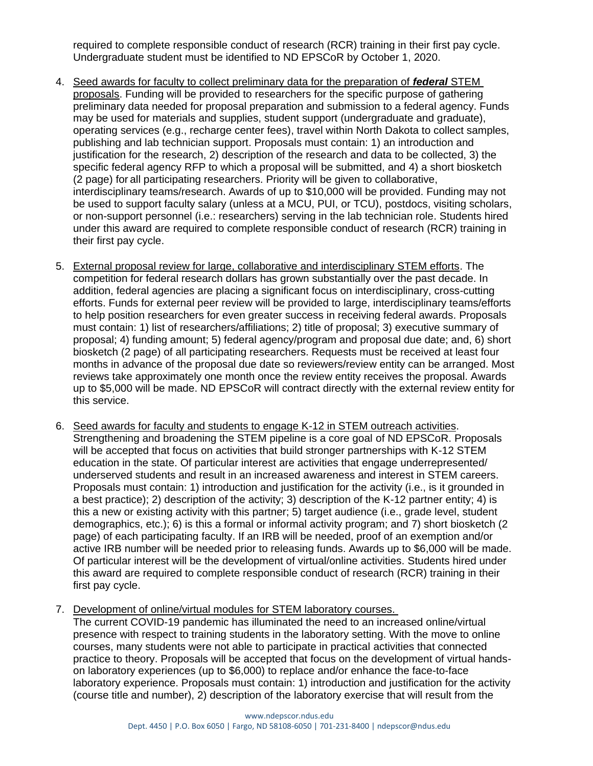required to complete responsible conduct of research (RCR) training in their first pay cycle. Undergraduate student must be identified to ND EPSCoR by October 1, 2020.

- 4. Seed awards for faculty to collect preliminary data for the preparation of *federal* STEM proposals. Funding will be provided to researchers for the specific purpose of gathering preliminary data needed for proposal preparation and submission to a federal agency. Funds may be used for materials and supplies, student support (undergraduate and graduate), operating services (e.g., recharge center fees), travel within North Dakota to collect samples, publishing and lab technician support. Proposals must contain: 1) an introduction and justification for the research, 2) description of the research and data to be collected, 3) the specific federal agency RFP to which a proposal will be submitted, and 4) a short biosketch (2 page) for all participating researchers. Priority will be given to collaborative, interdisciplinary teams/research. Awards of up to \$10,000 will be provided. Funding may not be used to support faculty salary (unless at a MCU, PUI, or TCU), postdocs, visiting scholars, or non-support personnel (i.e.: researchers) serving in the lab technician role. Students hired under this award are required to complete responsible conduct of research (RCR) training in their first pay cycle.
- 5. External proposal review for large, collaborative and interdisciplinary STEM efforts. The competition for federal research dollars has grown substantially over the past decade. In addition, federal agencies are placing a significant focus on interdisciplinary, cross-cutting efforts. Funds for external peer review will be provided to large, interdisciplinary teams/efforts to help position researchers for even greater success in receiving federal awards. Proposals must contain: 1) list of researchers/affiliations; 2) title of proposal; 3) executive summary of proposal; 4) funding amount; 5) federal agency/program and proposal due date; and, 6) short biosketch (2 page) of all participating researchers. Requests must be received at least four months in advance of the proposal due date so reviewers/review entity can be arranged. Most reviews take approximately one month once the review entity receives the proposal. Awards up to \$5,000 will be made. ND EPSCoR will contract directly with the external review entity for this service.
- 6. Seed awards for faculty and students to engage K-12 in STEM outreach activities. Strengthening and broadening the STEM pipeline is a core goal of ND EPSCoR. Proposals will be accepted that focus on activities that build stronger partnerships with K-12 STEM education in the state. Of particular interest are activities that engage underrepresented/ underserved students and result in an increased awareness and interest in STEM careers. Proposals must contain: 1) introduction and justification for the activity (i.e., is it grounded in a best practice); 2) description of the activity; 3) description of the K-12 partner entity; 4) is this a new or existing activity with this partner; 5) target audience (i.e., grade level, student demographics, etc.); 6) is this a formal or informal activity program; and 7) short biosketch (2 page) of each participating faculty. If an IRB will be needed, proof of an exemption and/or active IRB number will be needed prior to releasing funds. Awards up to \$6,000 will be made. Of particular interest will be the development of virtual/online activities. Students hired under this award are required to complete responsible conduct of research (RCR) training in their first pay cycle.
- 7. Development of online/virtual modules for STEM laboratory courses.

The current COVID-19 pandemic has illuminated the need to an increased online/virtual presence with respect to training students in the laboratory setting. With the move to online courses, many students were not able to participate in practical activities that connected practice to theory. Proposals will be accepted that focus on the development of virtual handson laboratory experiences (up to \$6,000) to replace and/or enhance the face-to-face laboratory experience. Proposals must contain: 1) introduction and justification for the activity (course title and number), 2) description of the laboratory exercise that will result from the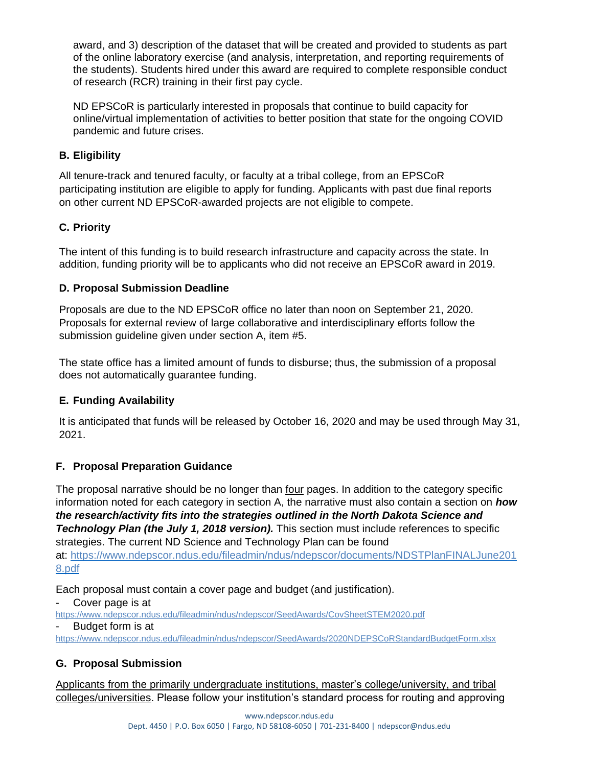award, and 3) description of the dataset that will be created and provided to students as part of the online laboratory exercise (and analysis, interpretation, and reporting requirements of the students). Students hired under this award are required to complete responsible conduct of research (RCR) training in their first pay cycle.

ND EPSCoR is particularly interested in proposals that continue to build capacity for online/virtual implementation of activities to better position that state for the ongoing COVID pandemic and future crises.

## **B. Eligibility**

All tenure-track and tenured faculty, or faculty at a tribal college, from an EPSCoR participating institution are eligible to apply for funding. Applicants with past due final reports on other current ND EPSCoR-awarded projects are not eligible to compete.

## **C. Priority**

The intent of this funding is to build research infrastructure and capacity across the state. In addition, funding priority will be to applicants who did not receive an EPSCoR award in 2019.

### **D. Proposal Submission Deadline**

Proposals are due to the ND EPSCoR office no later than noon on September 21, 2020. Proposals for external review of large collaborative and interdisciplinary efforts follow the submission guideline given under section A, item #5.

The state office has a limited amount of funds to disburse; thus, the submission of a proposal does not automatically guarantee funding.

### **E. Funding Availability**

It is anticipated that funds will be released by October 16, 2020 and may be used through May 31, 2021.

### **F. Proposal Preparation Guidance**

The proposal narrative should be no longer than four pages. In addition to the category specific information noted for each category in section A, the narrative must also contain a section on *how the research/activity fits into the strategies outlined in the North Dakota Science and*  **Technology Plan (the July 1, 2018 version).** This section must include references to specific strategies. The current ND Science and Technology Plan can be found

at: [https://www.ndepscor.ndus.edu/fileadmin/ndus/ndepscor/documents/NDSTPlanFINALJune201](https://www.ndepscor.ndus.edu/fileadmin/ndus/ndepscor/documents/NDSTPlanFINALJune2018.pdf) [8.pdf](https://www.ndepscor.ndus.edu/fileadmin/ndus/ndepscor/documents/NDSTPlanFINALJune2018.pdf)

Each proposal must contain a cover page and budget (and justification).

Cover page is at

<https://www.ndepscor.ndus.edu/fileadmin/ndus/ndepscor/SeedAwards/CovSheetSTEM2020.pdf>

Budget form is at

<https://www.ndepscor.ndus.edu/fileadmin/ndus/ndepscor/SeedAwards/2020NDEPSCoRStandardBudgetForm.xlsx>

## **G. Proposal Submission**

Applicants from the primarily undergraduate institutions, master's college/university, and tribal colleges/universities. Please follow your institution's standard process for routing and approving